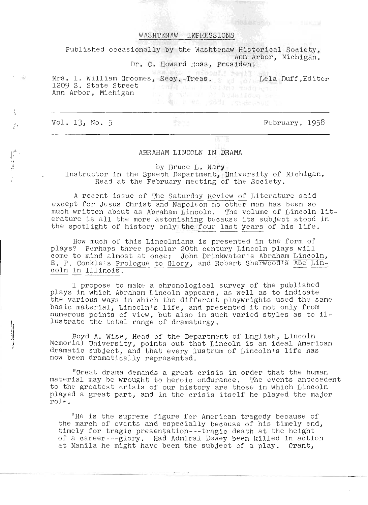### WASHTENAW IMPRESSIONS

Published occasionally by the Washtenaw Historical Society, Ann Arbor, Michigan.

Dr. C. Howard Ross, president

Ars. I. William Groomes, Secy.-Treas. Lela Duff,Editor 1209 s. State street Ann Arbor, Michigan 電L R #d (2831 , gender and)

Vol. 13, No.5

I r: '

 $\sim 10^{11}$ 

 $\sum_{i=1}^{N}$ 

--- - .. \_------

 $F<sub>0</sub>$ bruary, 1958

# ABRAHAM LINCOLN IN DRAMA

by Bruce L. Nary

Instructor in the Speech Department, University of Michigan. Read at the February meeting of the Society.

A recent issue of The Saturday Review of Literature said except for Jesus Christ and Napoleon no other man has been so much written about as Abraham Lincoln. The volume of Lincoln literature is all the more astonishing because its subject stood in the spotlight of history only the four last years of his life.

How much of this Lincolniana is presented in the form of now much of this Efficorniana is presented in the form of<br>Lincoln plays will plays three popular 20th century Lincoln plays will rays? Pernaps three popular 20th century Lincoln plays will<br>come to mind almost at once: John Drinkwater's Abraham Lincoln, come to mind almost at once: John Drinkwater's Abranam Lincoln,<br>E. P. Conkle's Prologue to Glory, and Robert Sherwood's Abe Lin-I. P. Conkle's <u>Prologue</u> to Glory, and Robert Sherwood's Abe Lin-<br>:oln in Illinois.

I propose to make a chronological survey of the published plays in which Abraham Lincoln appears, as well as to indicate the various ways in which the different playwrights used the same basic material, Lincoln's life, and presented it not only from numerous points of view, but also in such varied styles as to illustrate the total range of dramaturgy.

Boyd A. Wise, Head of the Department of English, Lincoln Memorial University, points out that Lincoln is an ideal American drama tic subject, and that every lustrum of Lincoln's life has now been dramatically represented.

"Great drama demands a great crisis in order that the human material may be wrought to heroic endurance. The events antecedent to the greatest crisis of our history are those in which Lincoln played a great part, and in the crisis itself he played the major  $role:$ 

"He is the supreme figure for American tragedy because of the march of events and especially because of his timely end, timely for tragic presentation --- tragic death at the height of a career---glory. Had Admiral Dewey been killed in action at Manila he might have been the subject of a play. Grant,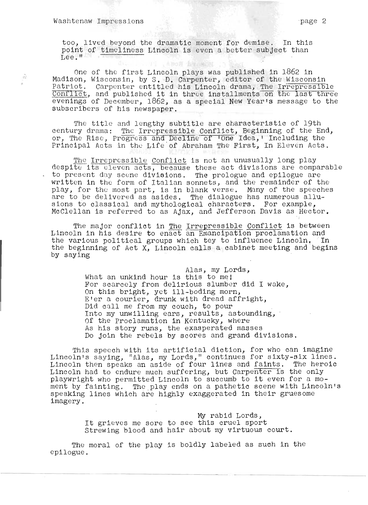ŵ

too, lived beyond the dramatic moment for demise. In this oo, lived beyond the dramatic moment for demise. In this<br>oint of timeliness Lincoln is even a better subject than point of timeliness Lincoln is even a better subject than<br>Lee."

One of the first Lincoln plays was published in 1862 in Madison, Wisconsin, by S. D. Carpenter, editor of the Wisconsin Patriot. Carpenter entitled his Lincoln drama, The Irrepressible Conflict, and published it in three installments on the last three evenings of December, 1862, as a special New Year's message to the subscribers of his newspaper.

The title and lengthy subtitle are characteristic of 19th The title and lengthy subtitle are characteristic of 19th<br>entury drama: The Irrepressible Conflict, Beginning of the End, entury drama: The Irrepressible Conflict, Beginning of the End<br>r. The Rise, Progress and Decline of Tone Idea,' Including the r, The Rise, Progress and Decline of 'One Idea,' Including the<br>'rincipal Acts in the Life of Abraham The First, In Eleven Acts.

The Irrepressible Conflict is not an unusually long play<br>espite its eleven acts, because these act divisions are comparable espite its eleven acts, because these act divisions are compara<br>o present day scene divisions. The prologue and epilogue are o present day scene divisions. The prologue and epilogue are<br>ritten in the form of Italian sonnets, and the remainder of the written in the form of Italian sonnets, and the remainder of the play, for the most part, is in blank verse. Many of the speeches are to be delivered as asides. The dialogue has numerous allusions to classical and mythological characters. For example, McClellan is referred to as Ajax, and Jefferson Davis as Hector.

The major conflict in The Irrepressible Conflict is between The major conflict in <u>The Irrepressible Conflict</u> is between<br>incoln in his desire to enact an Emancipation proclamation and incoln in his desire to enact an Emancipation proclamation and<br>he various political groups which tey to influence Lincoln. In the various political groups which tey to influence Lincoln. In the beginning of Act X, Lincoln calls a cabinet meeting and begins by saying

> Alas, my Lords, What an unkind hour is this to me! For scarcely from delirious Slumber did I wake, On this bright, yet ill-boding morn, n this bright, yet ill-boding morn,<br>Ter a courier, drunk with dread affright, Per a courier, drunk with dread af:<br>Did call me from my couch, to pour Did call me from my couch, to pour<br>Into my unwilling ears, results, astounding, Of the Proclamation in Kentucky, where As his story runs, the exasperated masses Do join the rebels by scores and grand divisions.

This speech with its artificial diction, for who can imagine Lincoln's saying, "Alas, my Lords," continues for sixty-six lines.<br>Lincoln then speaks an aside of four lines and faints. The heroic lincoln then speaks an aside of four lines and faints. The nero:<br>Incoln had to endure much suffering, but Carpenter is the only incoln had to endure much suffering, but Carpe<del>nter is the only</del>.<br>Iaywright who permitted Lincoln to succumb to it even for a moplaywright who permitted Lincoln to succumb to it even for a mo-<br>ment by fainting. The play ends on a pathetic scene with Lincoln's speaking lines which are highly exaggerated in their gruesome imagery.

> My rabid Lords, It grieves me sore to see this cruel sport Strewing blood and hair about my virtuous court.

The moral of the play is boldly labeled as such in the epilogue.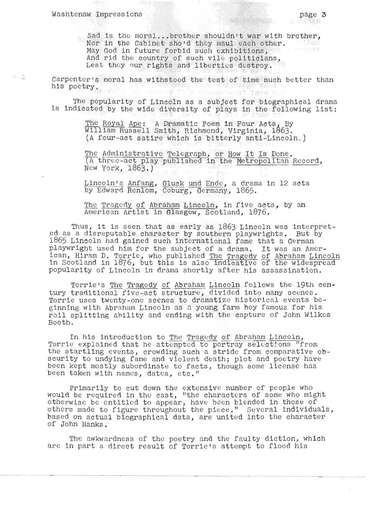$\epsilon = \frac{1}{10}$ 

Sad is the moral...brother shouldn't war with brother,<br>Nor in the Cabinet sho'd they maul each other. Nor in the Cabinet sho'd they maul each other. May God in future forbid such exhibitions, anivers May God in future forbid such exhibitions,<br>And rid the country of such vile politicians, Lest they 0ur rights and liberties destroy.

Carpenter's moral has withstood the test of time much better than his poetry. 승설은 그는 너무 그렇게 좋아요.

The popularity of Lincoln as a subject for biographical drama is indicated by the wide diversity of plays in the following list:

> The Royal Ape: A Dramatic Poem in Four Acts, By William Russell Smith, Richmond, Virginia, 1863. (A four-act satire which is bitterly anti-Lincoln.)

The Administrative Telegraph, or How It Is Done.<br>(A three-act play published in the Metropolitan Record, New York, 1863.)

Lincoln's Anfang, Gluck und Ende, a drama in 12 acts by Edward Renlom,  $\overline{\text{Coburg}}$ ,  $\overline{\text{Germany}}$ , 1865.

The Tragedy of Abraham Lincoln, in five acts, by an American Artist in Glasgow, Scotland, 1876.

Thus, it is seen that as early as 1863 Lincoln was interpret-<br>ed as a disreputable character by southern playwrights. But by 1865 Lincoln had gained such international fame that a German roop Lincoin nad gained such international rame that a German<br>playwright used him for the subject of a drama. It was an American, Hiram D. Torrie, who published The Tragedy of Abraham Lincoln ican, hiram D. Torrie, who published <u>the tragedy of Abraham Lincoln</u><br>In Scotland in 1876, but this is also indicative of the widespread popularity of Lincoln in drama shortly after his assassination.

Torrie's The Tragedy of Abraham Lincoln follows the 19th century traditional five-act structure, divided into many scenes. Torrie uses twenty-one scenes to dramatize historical events beginning with Abraham Lincoln as a young farm boy famous for his rail splitting ahility and ending with the capture of John Wilkes Booth.

In his introduction to The Tragedy of Abraham Lincoln, Torrie explained that he attempted to portray selections "from the startling events, crowding such a stride from comparative obscurity to undying fame and violent death; plot and poetry have been kept mostly subordinate to facts, though some license has been taken with names, dates, etc."

Primarily to cut down the extensive number of people who would be required in the cast, "the characters of some who might otherwise be entitled to appear, have been blended in those of others made to figure throughout the piece." Several individuals, based on actual biographical data, are united into the character of John Hanks.

The awkwardness of the poetry and the faulty diction, which are in part a direct result of Torrie's attempt to flood his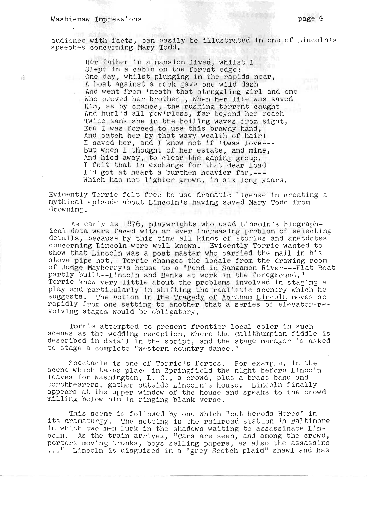$\overline{B}$ 

audience with facts, can easily be illustrated in one of Lincoln's speeches concerning Mary Todd.

Her father in a mansion lived, whilst I Slept in a cabin oh the forest edge: One day, whilst plunging in the rapids near, A boat against a rock gave one wild dash And went from 'neath that struggling girl and one Who proved her brother , when her life was saved Him, as by chance, the rushing torrent caught And hurl'd all pow'rless, far beyond her reach Twice sank she in the boiling waves from sight, Ere I was forced to use this brawny hand, And catch her by that wavy wealth of hair! And catch her by that wavy wealth of hair.<br>I saved her, and I know not if 'twas love---But when I thought of her estate, and mine, And hied away, to clear the gaping group, And fired away, to creat the gaping group, I'd got at heart a burthen heavier far,---Which has not lighter grown, in six long years.

Evidently Torrie felt free to use dramatic license in creating a mythical episode about Lincoln's having saved Mary Todd from drowning.

As early as 1876, playwrights who used Lincoln's biograph- ical data were f aced with an ever increasing problem of selecting details, because by this time all kinds of stories and anecdotes concerning Lincoln were well known. Evidently Torrie wanted to show that Lincoln was a post master who carried the mail in his stove pipe hat. Torrie changes the locale from the drawing room of Judge Mayberry's house to a "Bend in Sangamon River---Flat Boat partly built--Lincoln and Hanks at work in the foreground." Torrie knew very little about the problems involved in staging a play and particularly in shifting the realistic scenery which he suggests. The action in The Tragedy of Abraham Lincoln moves so rapidly from one setting to another that a series of elevator-revolving stages would be obligatory.

Torrie attempted to present frontier local color in such scenes as the wedding reception, where the Calithumpian fiddle is described in detail in the script, and the stage manager is asked to stage a complete "western country dance."

Spectacle is one of Torrie's fortes. For example, in the scene which takes place in Springfield the night before Lincoln leaves for Washington, D. C., a crowd, plus a brass band and torchbearers, gather outside Lincoln'S house. Lincoln finally appears at the upper window of the house and speaks to the crowd milling below him in ringing blank verse.

This scene is followed by one which "out herods Herod" in ints scene is forrowed by one which but herods herod in<br>Its dramaturgy. The setting is the railroad station in Baltimore in which two men lurk in the shadows waiting to assassinate Lincoln. As the train arrives, "Cars are seen, and among the crowd, porters moving trunks, boys selling papers, as also the assassins ..." Lincoln is disguised in a "grey Scotch plaid" shawl and has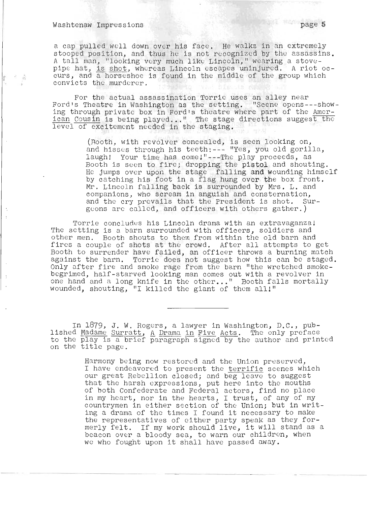$\vec{p}_2$ 

a cap pulled well down over his face. He walks in an extremely stooped position, and thus he is not recognized by the assassins. A tall man, "looking very much like Lincoln," wearing a stovepipe hat, is shot, whereas Lincoln escapes uninjured. A riot oc-<br>curs, and a horseshoe is found in the middle of the group which convicts the murderer.

For the actual assassination Torric uses an alley near For the actual assassination Torric uses an alley near<br>--ord's Theatre in Washington as the setting. "Scene opens---show-'ord's Theatre in Washington as the setting. "Scene opens---show"<br>.ng through private box in Ford's theatre where part of the Amering through private box in Ford's theatre where part of the <u>Amer-</u><br>can Cousin is being played..." The stage directions suggest the l can cousin is being played..." The stage<br>evel of excitement needed in the staging.

> Rooth, with revolver concealed, is seen looking on, .Hootn, with revolver concealed, is seen looking on,<br>ind hisses through his teeth:--- "Yes. vou old gorilla. laugh! Your time has come!"---The play proceeds, as laugn! Your time has come!"---The play proceeds, as<br>Booth is seen to fire: dropping the pistol and shouting. Booth is seen to fire; dropping the pistol and shouting.<br>Ie jumps over upon the stage falling a**nd w**ounding himself by catching his foot in a flag hung over the box front. Mr. Lincoln falling back is surrounded by Mrs. L. and companions, who scream in anguish and consternation, and the cry prevails that the President is shot. Surgeons are called, and officers with others gather.)

Torrie concludes his Lincoln drama with an extravaganza! The setting is a barn surrounded with officers, soldiers and other men. Booth shouts to them from within the old barn and fires a couple of shots at the crowd. After all attempts to get ires a couple of shots at the crowd. After all attempts to get<br>Booth to surrender have failed, an officer throws a burning match sootn to surrender have failed, an officer throws a burning match<br>ugainst the barn. Torrie does not suggest how this can be staged. Only after fire and smoke rage from the barn "the wretched smokebegrimed, half-starved looking man comes out with a revolver in one hand and a long knife in the other..." Booth falls mortally wounded, shouting, "I killed the giant of them all!"

In 1879, J. W. Rogers, a lawyer in Washington, D.C., pub-<br>ished Madame Surratt, A Drama in Five Acts. The only preface. to the demand to the property in the play is the diversion of the preface is the play is a printed in property of the author and printed is the play is a print of paragraph signed by the author and printed to the play is a br.<br>on the title page.

> Harmony being now restored and *the* Union preserved, I have endeavored to present the terrific scenes which our great Rebellion closed; and beg leave to suggest that *the* harsh expressions, put here into the mouths of both Confederate and Federal actors, find no place in my heart, nor in the hearts, I trust, of any of my countrymen in either section of the Union; but in writing a drama of the times I found it necessary to make the representatives of either party speak as they formerly felt. If my work should live, it will stand as a erly lelt. It my work snould live, it will stand as<br>beacon over a bloody sea, to warn our children, when beacon over a bloody sea, to warn our childrer.<br>we who fought upon it shall have passed away.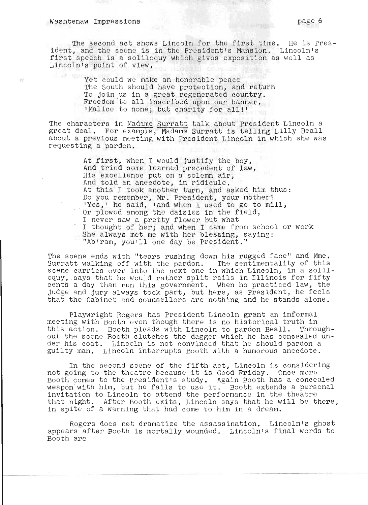The second act shows Lincoln for the first time. He is President, and the scene is in the President's Mansion. Lincoln's first speech is a soliloquy which gives exposition as well as Lincoln's point of view.

> Yet could we make an honorable peace The South should have protection, and return Ind South Should have proceeded, and recall Freedom 'to all inscribed upon our banner, 'Malice to none; but charity for all!'

The characters in Madame Surratt talk about President Lincoln a great deal. For example, Madame Surratt is telling Lilly Beall about a previous meeting with Presldent Lincoln in which she was requesting a pardon.

> At first, when I would Justify the boy, And tried some learned precedent of law, And tried some rearned precedent of<br>His excellence put on a solemn air, And told an anecdote, in ridicule.<br>At this I took another turn, and asked him thus: Do you remember, Mr. PreSident, your mother? Yes,' he said, 'and when I used to go to mill, Or plowed among the daisies in the field, I never saw a pretty flower but what<br>I thought of her; and when I came from school or work She always met me with her blessing, saying: "Ab'ram, you'll one day be President."

The scene ends with "tears rushing down his rugged face" and Mme. Surratt walking off with the pardon. The sentimentality of this scene carries over into the next one in which Lincoln, in a soliloquy, says that he would rather split rails in Illinois for fifty cents a day than run this government. When he practiced law, the judge and jury always took part, but here, as President, he feels that the Cabinet and counsellors are nothing and he stands alone.

Playwright Rogers has President Lincoln grant an informal meeting with Booth even though there is no historical truth in this action. Booth pleads with Lincoln to pardon Beall. Throughout the scene Booth clutches the dagger which he has concealed under his coat. Lincoln is not convinced that he should pardon a guilty man. Lincoln interrupts Booth with a humorous anecdote.

In the second scene of the fifth act, Lincoln is considering not going to the theatre because it is Good Friday. Once more Booth comes to the President's study. Again Booth has a concealed Booth comes to the President's study. Again Booth has a concealed<br>weapon with him, but he fails to use it. Booth extends a personal invitation to Lincoln to attend the performance in the theatre that night. After Booth exits, Lincoln says that he will be there, in spite of a warning that had come to him in a dream.

Rogers does not dramatize the assassination. Lincoln's ghost appears after Booth is mortally wounded. Lincoln's final words to Booth are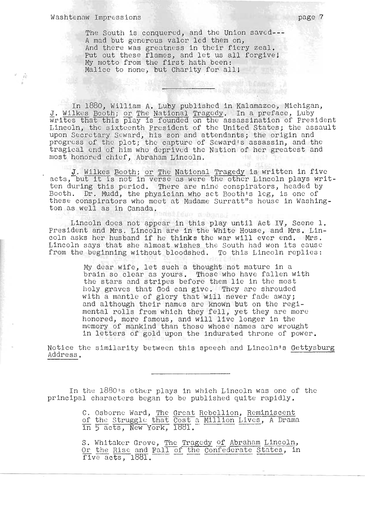$\vec{B}^{\dagger}_{l}$ 

The South is conquered, and the Union saved---A mad but generous valor led them on, - mad but generous valor led them on,<br>nd there was greatness in their fiery zeal. nd there was greatness in their fiery zeal.<br>ut out these flames, and let us all forgive! Put out these flames, and let us all forgive!<br>My motto from the first hath been: Malice to none, but Charity for all!

In 1880, William A. Luby published in Kalamazoo, Michigan, In 1000, William A. Luby published in Kalamazoo, Michigan,<br>J. Wilkes Booth; or The National Tragedy. In a preface, Luby<br>rites that this play is founded on the assassination of President. rites that this play is founded on the assassination of President<br>incoln, the sixteenth President of the United States: the assault incoln, the sixteenth President of the United States; the ass<br>pon Secretary Seward, his son and attendants; the origin and pon Secretary Seward, his son and attendants; the origin and<br>rogress of the plot: the capture of Seward's assassin, and the rogress of the plot; the capture of Seward's assassin, and the<br>ragical end of him who deprived the Nation of her greatest and tragical end of him who deprived the Nation of her greatest and most honored chief, Abraham Lincoln.

i Campodi **Parti (Campodi Campodi)**<br>Un t<sup>er</sup> familia de la constitución de la constitución

J. Wilkes Booth; or The National Tragedy is writt en in five J. Wilkes Booth; or The National Tragedy is written in five<br>cts, but it is not in verse as were the other Lincoln plays writcts, but it is not in verse as were the other Lincoin plays writ<br>en during this period. There are nine conspirators, headed by ten during this period. There are nine conspirators, headed by Booth. Dr. Mudd, the physician who set Booth's leg, is one of ooth. Dr. Mudd, the physician who set Booth's leg, is one of<br>hese conspirators who meet at Madame Surratt"s house in Washinghese conspirators who mee<br>on as well as in Canada.

Lincoln does not appear in this play until Act IV, Scene 1. President and Mrs. Lincoln are in the White House, and Mrs. Lincoln asks her husband if he thinks the war will ever end. Mrs. oln asks her husband if he thinks the war will ever end. Mrs.<br>incoln says that she almost wishes the South had won its cause incoln says that she almost wishes the South had won its cause<br>rom the beginning without bloodshed. To this Lincoln replies:

> My dear wife, let such a thought not mature in a y dear wife, let such a thought not mature in a<br>rain so clear as yours... Those who have fallen with rain so clear as yours. Those who have fallen wi<sup>.</sup><br>he stars and stripes before them lie in the most he stars and stripes belore them lie in the most<br>oly graves that God can give. They are shrouded oly graves that God can give. They are shrouded<br>ith a mantle of glory that will never fade away: ith a mantle of glory that will never fade away;<br>nd although their names are known but on the regind although their names are known but on the regi-<br>ental rolls from which they fell, yet they are more ental rolls from which they fell, yet they are mome<br>onored, more famous, and will live longer in the honored, more famous, and will live longer in the<br>memory of mankind than those whose names are wrought<br>in letters of gold upon the indurated throne of power.

Notice the similarity between this speech and Lincoln's Gettysburg Address.

In the 1880's other plays in which Lincoln was one of the principal characters began to be published quite rapidly.

> C. Osborne Ward, The Great Rebellion, Reminiscent . Osborne ward, <u>the Great Rebellion, Reminiscent</u><br>f the Struggle that Cost a Million Lives. A Drama f the Struggle that Cost a I<br>n 5 acts, New York, 1881.

> . Whitaker Grove, The Tragedy of Abraham Lincoln,<br>r the Rise and Fall of the Confederate States, in Or the Rise and Fall of the Confederate States, in<br>five acts, 1881.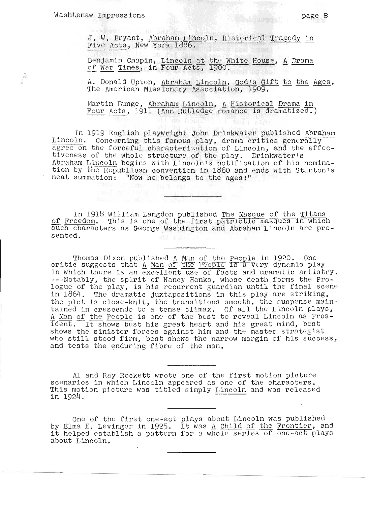ŵ

. W. Bryant, <u>Abraham Lincoln</u>, <u>Historical Tragedy in</u><br><u>'ive Acts</u>, New York 1886.

damin Chapin, Lincoln at the White House, A Drama enjamin Chapin, <u>Lincoln at the White House</u>, <u>A</u><br>f War Times, in Four Acts, 1900.

A. Donald Upton, Abraham Lincoln, God's Gift to the Ages, The American Missionary Association, 1909.

Martin Runge , Abraham Lincoln, A Historical Drama in Eurtin Bunge, <u>Abranam Lincoin, A historicai Drama in</u><br>our Acts, 1911 (Ann Rutledge romance is dramatized.)

In 1919 English playwright John Drinkwater published Abraham Lincoln. Concerning this famous play, drama critics generally agree on the forceful characterization of Lincoln, and the effectiveness of the whole structure of *the* play. Drinkwater's Abraham Lincoln begins with Lincoln's notification of his nomination by the Republican convention in 1860 and ends with Stanton's neat summation: "Now *he* belongs to the ages!"

In 1918 William Langdon published The Masque of the Titans of Freedom. This is one of the first patriotic masques in which such characters as George Washington and Abraham Lincoln are presented.

Thomas Dixon published A Man of tho People in 1920. One critic suggests that A Man of the People in 1920. One<br>ritic suggests that A Man of the People is a very dynamic play in which there is an excellent use of facts and dramatic artistry. n which there is an excellent use of facts and dramatic artistry.<br>--Notably, the spirit of Nancy Hanks, whose death forms the Pro---Notably, the spirit of Nancy Hanks, whose death forms the Pro-<br>ogue of the play, is his recurrent guardian until the final scene logue of the play, is his recurrent guardian until the final scene in 1864. The dramatic juxtapositions in this play are striking, the plot is close-knit, the transitions smooth, the suspense maintained in crescendo to a tense climax. Of all the Lincoln plays, A Man of the People is one of the best to reveal Lincoln as pres ident. It shows best his great heart and his great mind, best shows the sinister forces against him and the master strategist<br>who still stood firm, best shows the narrow margin of his success, and tests the enduring fibre of the man.

Al and Ray Rockett wrote one of the first motion picture scenarios in which Lincoln appeared as one of *the* characters. cenarios in which Lincoln appeared as one of the characters.<br>his motion picture was titled simply Lincoln and was released nis moti<br>n 1924

ne of the first one-act plays about Lincoln was published<br>a E. Levinger in 1925. It was A Child of the Frontier, and one of the first one-act plays about Lincoin was published<br>y Elma E. Levinger in 1925. It was <u>A Child of the Frontier</u>, and<br>t helped establish a pattern for a whole series of one-act plays about Lincoln.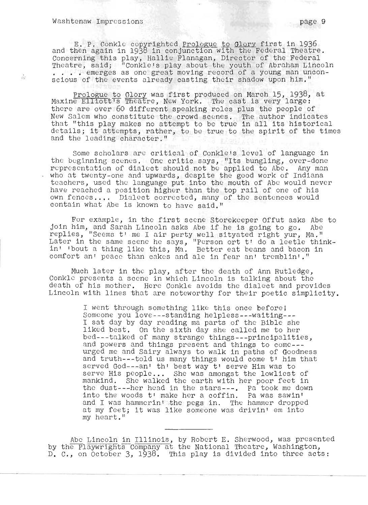$\tilde{\chi}^{(1)}_{\rm{SM}}$ 

1--

E. P. Conkle copyrighted Prologue to Glory first in 1936 and then again in 1938 in conjunction with the Federal Theatre. Concerning this play, Hallie Flanagan, Director of the Federal Theatre, said;  $\frac{1}{2}$  Conkle's play about the youth of Abraham Lincoln . . . . emerges as one great moving record of a young man unconscious of the events already casting their shadow upon him."

Prologue to Glory was first produced on March 15, 1938, at prologue to Glory was lirst produced on march 15, 1930,<br>Maxine Elliott's Theatre, New York. The cast is very large: there are over 60 different speaking roles plus the people of Incle are over ob different speaking roles plus the people of<br>New Salem who constitute the crowd scenes. The author indicates that "this play makes no attempt to be true in all its historical<br>hat "this play makes no attempt to be true in all its historical de tails; it attempts, rather, to be true to the spirit of the times and the leading character."

Some scholars are critical of Conkle's level of language in some scholars are critical of conkle's level of language in<br>he beginning scenes. One critic says, "Its bungling, over-done" re beginning scenes. One critic says, "Its bungling, over-done<br>representation of dialect should not be applied to Abe. Any man who at twenty-one and upwards, despite the good work of Indiana teachers, used the language put into the mouth of Abe would never have reached a position higher than the top rail of one of his own fences.... Dialect corrected, many of the sentences would contain what Abe is known to have said."

For example, in the first scene Storekeeper Offut asks Abe to join him, and Sarah Lincoln asks Abe if he is going to go. Abe replies, "Seems t' me I air perty well sityated right yur, Ma." replies, "Seems t' me I air perty well sityated right yur, Ma."<br>Later in the same scene he says, "Person ort t' do a leetle thinkabel in the same scene he says, rerson ort through leetle thing<br>n' 'bout a thing like this, Ma. Better eat beans and bacon in comfort an' peace than cakes and ale in fear an' tremblin'."

Much later in the play, after the death of Ann Rutledge, Conkle presents a scene in which Lincoln is talking about the death of his mother. Here Conkle avoids the dialect and provides Lincoln with lines that are noteworthy for their poetic simplicity.

> I went through something like this once beforel Someone you love---standing helpless---waiting--- I sat day by day reading ma parts of the Bible she liked best. On the sixth day she called me to her bed---talked of many strange things---principalities, and powers and things present and things to come-- urged me and Sairy always to walk in paths of Goodness and truth---told us many things would come t' him that served God- $-$ -an' th' best way t' serve Him was to served God---an' th' best way t' serve Him was to<br>serve His people... She was amongst the lowliest of mankind. She walked the earth with her poor feet in the dust---her head in the stars---. Pa took me down into the woods  $t<sup>1</sup>$  make her a coffin. Pa was sawin' and I was hammerint the pegs in. The hammer dropped at my feet; it was like someone was drivin' em into my heart."

Abe Lincoln in Illinois, by Robert E. Sherwood, was presented by the Playwrights Company at the National Theatre, Washington, D. C., on October 3, 1938. This play is divided into three acts: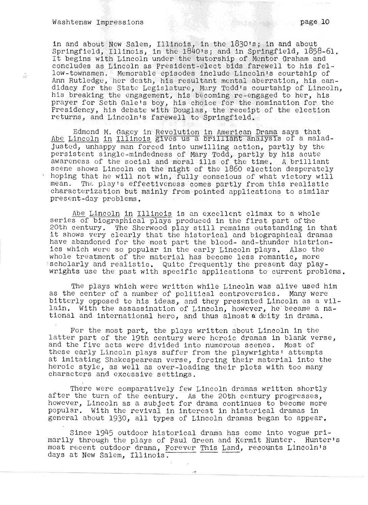渝

<u>I</u>

in and about New Salem, Illinois, in the 1830's; in and about n and about New Salem, Illinois, in the 1830's; in and about<br>pringfield, Illinois, in the 1840's: and in Springfield, 1858-61. pringfield, Illinois, in the 1840's; and in Springfield, 1858-61<br>t begins with Lincoln under the tutorship of Mentor Graham and It begins with Lincoln under the tutorship of Montor Graham and concludes as Lincoln as President-elect bids farewell to his fellow-townsmen. Memorable episodes include Lincoln's courtship of ow-townsmen. Memorable episodes include Lincoln's courtship of<br>nn Rutledge, her death, his resultant mental aberration, his cannn Rutledge, her death, his resultant mental aberration, his can-<br>idacy for the State Legislature, Mury Todd's courtship of Lincoln didacy for the State Legislature, Mary Todd's courtship of Lincoln,<br>his breaking the engagement, his becoming re-engaged to her, his is preaking the engagement, his becoming re-engaged to her, his<br>raver for Seth Gale's boy, his choice for the nomination for the rayer for Seth Gale's boy, his choice for the nomination for the<br>residency, bis debate with Douglas, the receipt of the election Presidency, his debate with Douglas, the receipt of the election returns, and Lincoln's farewell to Springfield.

Edmond M. Gagey in Revolution in American Drama says that Edmond M. Gagey in Revolution in American Drama says that<br>be Lincoln in Illinois gives us a brilliant analysis of a maladpe <u>Lincoin</u> in <u>filinois</u> gives us a prifiliant analysis of a malau.<br>usted, unhappy man forced into unwilling action, partly by the usted, unhappy man forced into unwilling action, partly by the<br>ersistent single-mindedness of Mary Todd, partly by his acute ersistent single-mindedness of Mary Todd, partly by his acute<br>wareness of the social and moral ills of the time... A brilliant wareness of the social and moral ills of the time. A brilliant<br>cene shows Lincoln on the night of the 1860 election desperately cene snows Lincoln on the night of the 1860 election desperately<br>oping that he will not win, fully conscious of what victory will oping that he will not win, fully conscious of what victory will<br>ean. The play's effectiveness comes partly from this realistic ean. The play's effectiveness comes partly from this realistic<br>baracterization but mainly from pointed applications to similar naracterization but mainly from pointed applications :<br>resent-day problems

Abe Lincoln in Illinois is an excellent climax to a whole abe <u>Lincoln in Illinois</u> is an excellent climax to a whole<br>eries of biographical plays produced in the first part of the series of biographical plays produced in the first part of the 20th century. The Sherwood play still remains outstanding in that it shows very clearly that the historical and biographical dramas have abandoned for the most part the blood- and-thunder histrionave abandoned for the most part the blood- and-thunder histrion.<br>es which were so popular in the early Lincoln plays... Also the cs which were so popular in the early Lincoln plays. Also the<br>hole treatment of the material has become less romantic, more scholarly and realistic. Quite frequently the present day play-<br>wrights use the past with specific applications to current problems.

The plays which were written while Lincoln was alive used him the plays which were written while Lincoln was alive used him!<br>a the center of a number of political controversies. Many were as the center of a number of political controversies. Many were bitterly opposed to his ideas, and they presented Lincoln as a vil-<br>lain. With the assassination of Lincoln, however, he became a national and international hero, and thus almost a deity in drama.

or the most part, the plays written about Lincoln in the For the most part, the plays written about Lincoln in the  $\frac{1}{2}$ latter part of the 19th century were heroic dramas in blank verse,<br>and the five acts were divided into numerous scenes. Most of these early Lincoln plays suffer from the playwrights' attempts nese early Lincoln plays suffer from the playwrights' attempts<br>t imitating Shakespearean verse, forcing their material into the t imitating Shakespearean verse, forcing their material into the<br>eroic style, as well as over-loading their plots with too many<br>baracters and excessive settings.

There were comparatively few Lincoln dramas written shortly There were comparatively few Lincoln dramas written shortly.<br>As the 20th century progresses after the turn of the century. As the 20th century progresses, however, Lincoln as a subject for drama continues to become more popular. With the revival in interest in historical dramas in<br>general about 1930, all types of Lincoln dramas began to appear.

Since 1945 outdoor historical drama has come into vogue primarily through the plays of Paul Green and Kermit Hunter.<br>Arily through the plays of Paul Green and Kermit Hunter. Hunteris arily through the plays of Paul Green and Kermit Hunter. Hunter<br>ost recent outdoor drama, Forever This Land, recounts Lincolnis most recent outdoor drama, Forever This Land, recounts Lincoln's days at New Salem, Illinois.